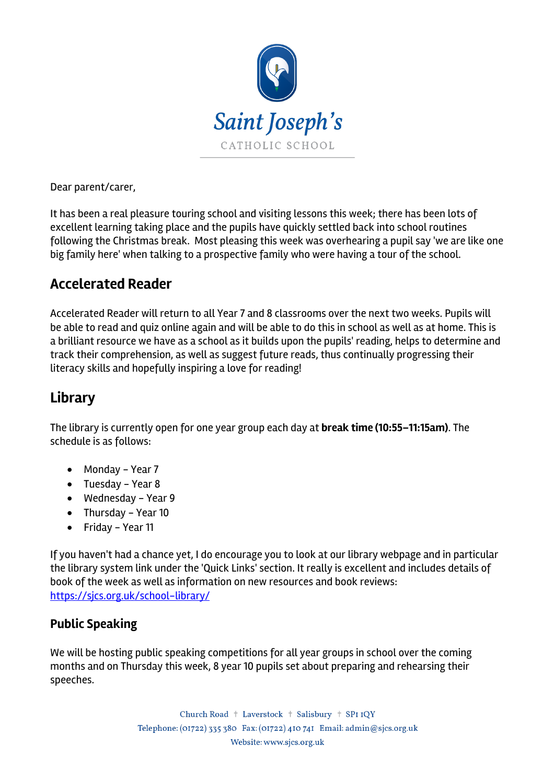

Dear parent/carer,

It has been a real pleasure touring school and visiting lessons this week; there has been lots of excellent learning taking place and the pupils have quickly settled back into school routines following the Christmas break. Most pleasing this week was overhearing a pupil say 'we are like one big family here' when talking to a prospective family who were having a tour of the school.

#### **Accelerated Reader**

Accelerated Reader will return to all Year 7 and 8 classrooms over the next two weeks. Pupils will be able to read and quiz online again and will be able to do this in school as well as at home. This is a brilliant resource we have as a school as it builds upon the pupils' reading, helps to determine and track their comprehension, as well as suggest future reads, thus continually progressing their literacy skills and hopefully inspiring a love for reading!

#### **Library**

The library is currently open for one year group each day at **break time (10:55–11:15am)**. The schedule is as follows:

- Monday Year 7
- Tuesday Year 8
- Wednesday Year 9
- Thursday Year 10
- Friday Year 11

If you haven't had a chance yet, I do encourage you to look at our library webpage and in particular the library system link under the 'Quick Links' section. It really is excellent and includes details of book of the week as well as information on new resources and book reviews: https://sjcs.org.uk/school-library/

#### **Public Speaking**

We will be hosting public speaking competitions for all year groups in school over the coming months and on Thursday this week, 8 year 10 pupils set about preparing and rehearsing their speeches.

> Church Road + Laverstock + Salisbury + SPI IQY Telephone: (01722) 335 380 Fax: (01722) 410 741 Email: admin@sjcs.org.uk Website: www.sjcs.org.uk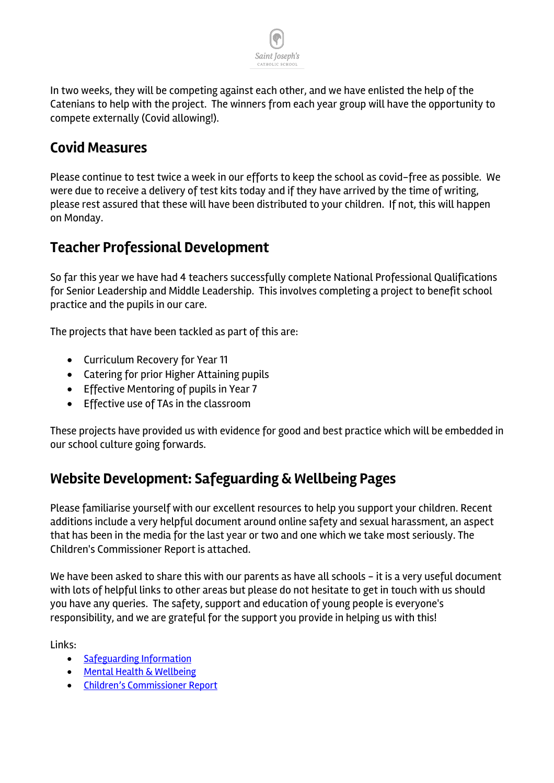

In two weeks, they will be competing against each other, and we have enlisted the help of the Catenians to help with the project. The winners from each year group will have the opportunity to compete externally (Covid allowing!).

### **Covid Measures**

Please continue to test twice a week in our efforts to keep the school as covid-free as possible. We were due to receive a delivery of test kits today and if they have arrived by the time of writing, please rest assured that these will have been distributed to your children. If not, this will happen on Monday.

#### **Teacher Professional Development**

So far this year we have had 4 teachers successfully complete National Professional Qualifications for Senior Leadership and Middle Leadership. This involves completing a project to benefit school practice and the pupils in our care.

The projects that have been tackled as part of this are:

- Curriculum Recovery for Year 11
- Catering for prior Higher Attaining pupils
- Effective Mentoring of pupils in Year 7
- Effective use of TAs in the classroom

These projects have provided us with evidence for good and best practice which will be embedded in our school culture going forwards.

## **Website Development: Safeguarding & Wellbeing Pages**

Please familiarise yourself with our excellent resources to help you support your children. Recent additions include a very helpful document around online safety and sexual harassment, an aspect that has been in the media for the last year or two and one which we take most seriously. The Children's Commissioner Report is attached.

We have been asked to share this with our parents as have all schools - it is a very useful document with lots of helpful links to other areas but please do not hesitate to get in touch with us should you have any queries. The safety, support and education of young people is everyone's responsibility, and we are grateful for the support you provide in helping us with this!

Links:

- Safeguarding Information
- Mental Health & Wellbeing
- Children's Commissioner Report